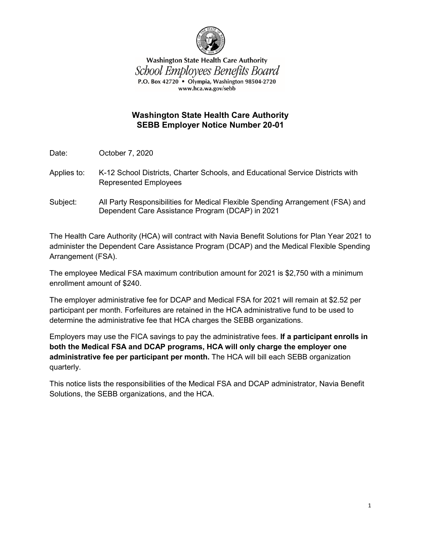

**Washington State Health Care Authority** School Employees Benefits Board P.O. Box 42720 • Olympia, Washington 98504-2720 www.hca.wa.gov/sebb

## **Washington State Health Care Authority SEBB Employer Notice Number 20-01**

Date: October 7, 2020

- Applies to: K-12 School Districts, Charter Schools, and Educational Service Districts with Represented Employees
- Subject: All Party Responsibilities for Medical Flexible Spending Arrangement (FSA) and Dependent Care Assistance Program (DCAP) in 2021

The Health Care Authority (HCA) will contract with Navia Benefit Solutions for Plan Year 2021 to administer the Dependent Care Assistance Program (DCAP) and the Medical Flexible Spending Arrangement (FSA).

The employee Medical FSA maximum contribution amount for 2021 is \$2,750 with a minimum enrollment amount of \$240.

The employer administrative fee for DCAP and Medical FSA for 2021 will remain at \$2.52 per participant per month. Forfeitures are retained in the HCA administrative fund to be used to determine the administrative fee that HCA charges the SEBB organizations.

Employers may use the FICA savings to pay the administrative fees. **If a participant enrolls in both the Medical FSA and DCAP programs, HCA will only charge the employer one administrative fee per participant per month.** The HCA will bill each SEBB organization quarterly.

This notice lists the responsibilities of the Medical FSA and DCAP administrator, Navia Benefit Solutions, the SEBB organizations, and the HCA.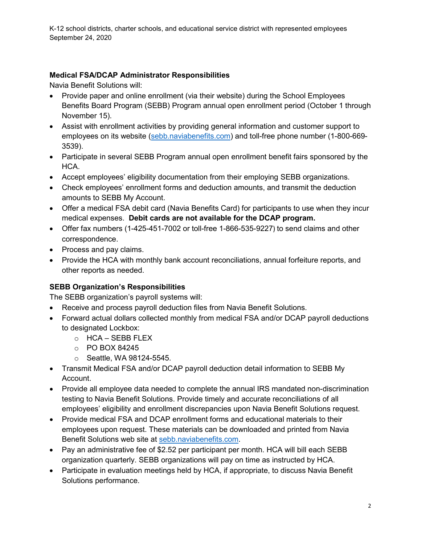K-12 school districts, charter schools, and educational service district with represented employees September 24, 2020

## **Medical FSA/DCAP Administrator Responsibilities**

Navia Benefit Solutions will:

- Provide paper and online enrollment (via their website) during the School Employees Benefits Board Program (SEBB) Program annual open enrollment period (October 1 through November 15).
- Assist with enrollment activities by providing general information and customer support to employees on its website [\(sebb.naviabenefits.com\)](http://sebb.naviabenefits.com/) and toll-free phone number (1-800-669- 3539).
- Participate in several SEBB Program annual open enrollment benefit fairs sponsored by the HCA.
- Accept employees' eligibility documentation from their employing SEBB organizations.
- Check employees' enrollment forms and deduction amounts, and transmit the deduction amounts to SEBB My Account.
- Offer a medical FSA debit card (Navia Benefits Card) for participants to use when they incur medical expenses. **Debit cards are not available for the DCAP program.**
- Offer fax numbers (1-425-451-7002 or toll-free 1-866-535-9227) to send claims and other correspondence.
- Process and pay claims.
- Provide the HCA with monthly bank account reconciliations, annual forfeiture reports, and other reports as needed.

# **SEBB Organization's Responsibilities**

The SEBB organization's payroll systems will:

- Receive and process payroll deduction files from Navia Benefit Solutions.
- Forward actual dollars collected monthly from medical FSA and/or DCAP payroll deductions to designated Lockbox:
	- o HCA SEBB FLEX
	- o PO BOX 84245
	- o Seattle, WA 98124-5545.
- Transmit Medical FSA and/or DCAP payroll deduction detail information to SEBB My Account.
- Provide all employee data needed to complete the annual IRS mandated non-discrimination testing to Navia Benefit Solutions. Provide timely and accurate reconciliations of all employees' eligibility and enrollment discrepancies upon Navia Benefit Solutions request.
- Provide medical FSA and DCAP enrollment forms and educational materials to their employees upon request. These materials can be downloaded and printed from Navia Benefit Solutions web site at [sebb.naviabenefits.com.](http://sebb.naviabenefits.com/)
- Pay an administrative fee of \$2.52 per participant per month. HCA will bill each SEBB organization quarterly. SEBB organizations will pay on time as instructed by HCA.
- Participate in evaluation meetings held by HCA, if appropriate, to discuss Navia Benefit Solutions performance.